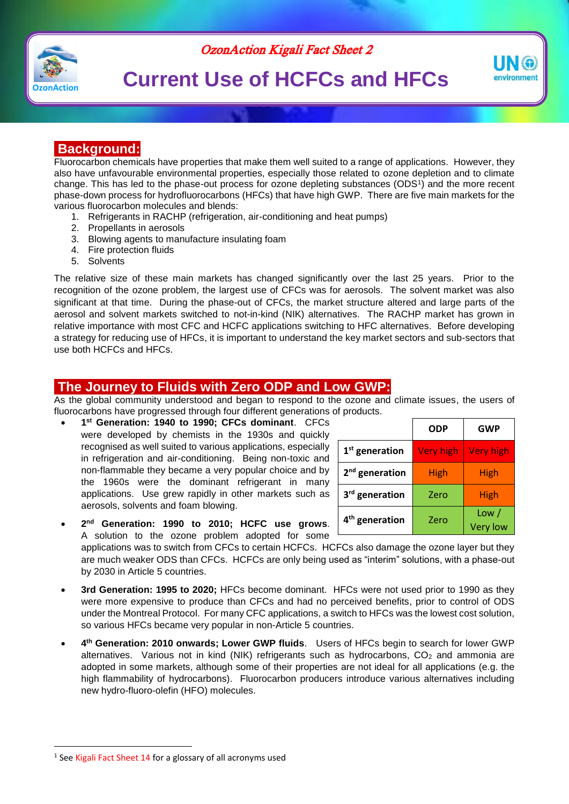



# **Current Use of HCFCs and HFCs**



# **Background:**

Fluorocarbon chemicals have properties that make them well suited to a range of applications. However, they also have unfavourable environmental properties, especially those related to ozone depletion and to climate change. This has led to the phase-out process for ozone depleting substances (ODS<sup>1</sup> ) and the more recent phase-down process for hydrofluorocarbons (HFCs) that have high GWP. There are five main markets for the various fluorocarbon molecules and blends:

- 1. Refrigerants in RACHP (refrigeration, air-conditioning and heat pumps)
- 2. Propellants in aerosols
- 3. Blowing agents to manufacture insulating foam
- 4. Fire protection fluids
- 5. Solvents

The relative size of these main markets has changed significantly over the last 25 years. Prior to the recognition of the ozone problem, the largest use of CFCs was for aerosols. The solvent market was also significant at that time. During the phase-out of CFCs, the market structure altered and large parts of the aerosol and solvent markets switched to not-in-kind (NIK) alternatives. The RACHP market has grown in relative importance with most CFC and HCFC applications switching to HFC alternatives. Before developing a strategy for reducing use of HFCs, it is important to understand the key market sectors and sub-sectors that use both HCFCs and HFCs.

## **The Journey to Fluids with Zero ODP and Low GWP:**

As the global community understood and began to respond to the ozone and climate issues, the users of fluorocarbons have progressed through four different generations of products.

 **1 st Generation: 1940 to 1990; CFCs dominant**. CFCs were developed by chemists in the 1930s and quickly recognised as well suited to various applications, especially in refrigeration and air-conditioning. Being non-toxic and non-flammable they became a very popular choice and by the 1960s were the dominant refrigerant in many applications. Use grew rapidly in other markets such as aerosols, solvents and foam blowing.

|                            | <b>ODP</b>       | <b>GWP</b>               |
|----------------------------|------------------|--------------------------|
| $1st$ generation           | <b>Very high</b> | <b>Very high</b>         |
| 2 <sup>nd</sup> generation | High             | High                     |
| 3 <sup>rd</sup> generation | Zero             | <b>High</b>              |
| 4 <sup>th</sup> generation | Zero             | Low /<br><b>Very low</b> |

 **2 nd Generation: 1990 to 2010; HCFC use grows**. A solution to the ozone problem adopted for some

applications was to switch from CFCs to certain HCFCs. HCFCs also damage the ozone layer but they are much weaker ODS than CFCs. HCFCs are only being used as "interim" solutions, with a phase-out by 2030 in Article 5 countries.

- **3rd Generation: 1995 to 2020;** HFCs become dominant. HFCs were not used prior to 1990 as they were more expensive to produce than CFCs and had no perceived benefits, prior to control of ODS under the Montreal Protocol. For many CFC applications, a switch to HFCs was the lowest cost solution, so various HFCs became very popular in non-Article 5 countries.
- **4 th Generation: 2010 onwards; Lower GWP fluids**. Users of HFCs begin to search for lower GWP alternatives. Various not in kind (NIK) refrigerants such as hydrocarbons,  $CO<sub>2</sub>$  and ammonia are adopted in some markets, although some of their properties are not ideal for all applications (e.g. the high flammability of hydrocarbons). Fluorocarbon producers introduce various alternatives including new hydro-fluoro-olefin (HFO) molecules.

 $\overline{a}$ 

<sup>&</sup>lt;sup>1</sup> See Kigali Fact Sheet 14 for a glossary of all acronyms used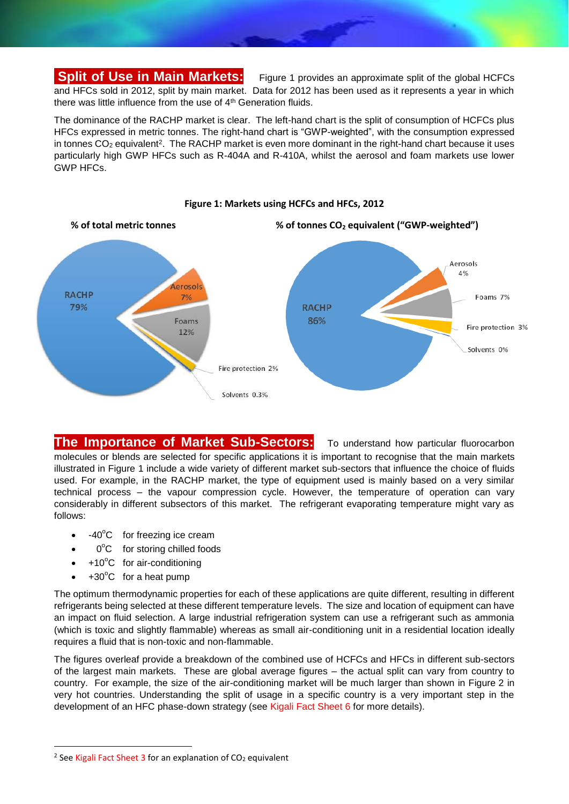# **Split of Use in Main Markets:** Figure 1 provides an approximate split of the global HCFCs

and HFCs sold in 2012, split by main market. Data for 2012 has been used as it represents a year in which there was little influence from the use of 4<sup>th</sup> Generation fluids.

The dominance of the RACHP market is clear. The left-hand chart is the split of consumption of HCFCs plus HFCs expressed in metric tonnes. The right-hand chart is "GWP-weighted", with the consumption expressed in tonnes  $CO<sub>2</sub>$  equivalent<sup>2</sup>. The RACHP market is even more dominant in the right-hand chart because it uses particularly high GWP HFCs such as R-404A and R-410A, whilst the aerosol and foam markets use lower GWP HFCs.



#### **Figure 1: Markets using HCFCs and HFCs, 2012**

# **The Importance of Market Sub-Sectors:** To understand how particular fluorocarbon

molecules or blends are selected for specific applications it is important to recognise that the main markets illustrated in Figure 1 include a wide variety of different market sub-sectors that influence the choice of fluids used. For example, in the RACHP market, the type of equipment used is mainly based on a very similar technical process – the vapour compression cycle. However, the temperature of operation can vary considerably in different subsectors of this market. The refrigerant evaporating temperature might vary as follows:

- $-40^{\circ}$ C for freezing ice cream
- 0°C for storing chilled foods
- $+10^{\circ}$ C for air-conditioning
- $+30^{\circ}$ C for a heat pump

 $\overline{a}$ 

The optimum thermodynamic properties for each of these applications are quite different, resulting in different refrigerants being selected at these different temperature levels. The size and location of equipment can have an impact on fluid selection. A large industrial refrigeration system can use a refrigerant such as ammonia (which is toxic and slightly flammable) whereas as small air-conditioning unit in a residential location ideally requires a fluid that is non-toxic and non-flammable.

The figures overleaf provide a breakdown of the combined use of HCFCs and HFCs in different sub-sectors of the largest main markets. These are global average figures – the actual split can vary from country to country. For example, the size of the air-conditioning market will be much larger than shown in Figure 2 in very hot countries. Understanding the split of usage in a specific country is a very important step in the development of an HFC phase-down strategy (see Kigali Fact Sheet 6 for more details).

<sup>&</sup>lt;sup>2</sup> See Kigali Fact Sheet 3 for an explanation of CO<sub>2</sub> equivalent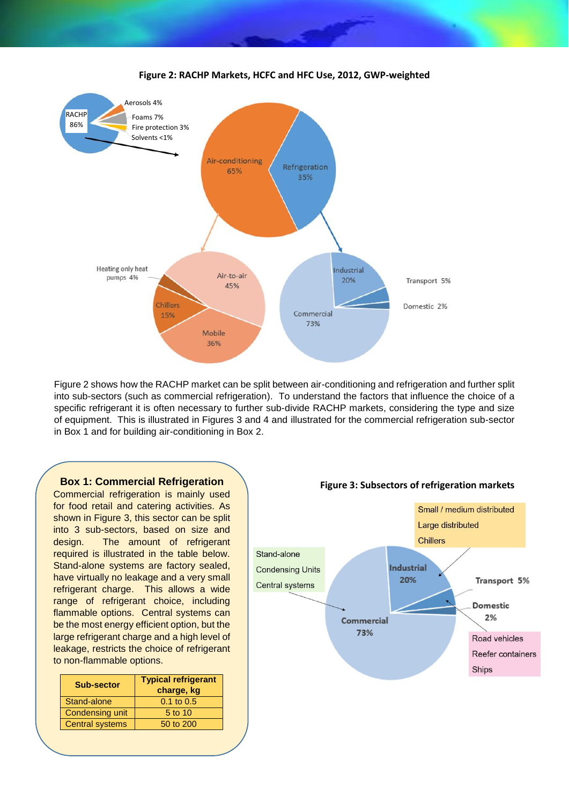

Figure 2 shows how the RACHP market can be split between air-conditioning and refrigeration and further split into sub-sectors (such as commercial refrigeration). To understand the factors that influence the choice of a specific refrigerant it is often necessary to further sub-divide RACHP markets, considering the type and size of equipment. This is illustrated in Figures 3 and 4 and illustrated for the commercial refrigeration sub-sector in Box 1 and for building air-conditioning in Box 2.



Commercial refrigeration is mainly used for food retail and catering activities. As shown in Figure 3, this sector can be split into 3 sub-sectors, based on size and design. The amount of refrigerant required is illustrated in the table below. Stand-alone systems are factory sealed, have virtually no leakage and a very small refrigerant charge. This allows a wide range of refrigerant choice, including flammable options. Central systems can be the most energy efficient option, but the large refrigerant charge and a high level of leakage, restricts the choice of refrigerant to non-flammable options.

| <b>Sub-sector</b>      | <b>Typical refrigerant</b><br>charge, kg |  |
|------------------------|------------------------------------------|--|
| Stand-alone            | $0.1 \text{ to } 0.5$                    |  |
| Condensing unit        | 5 to 10                                  |  |
| <b>Central systems</b> | 50 to 200                                |  |
|                        |                                          |  |